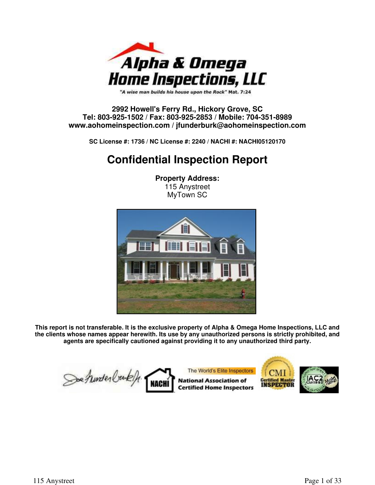

"A wise man builds his house upon the Rock" Mat. 7:24

#### **2992 Howell's Ferry Rd., Hickory Grove, SC Tel: 803-925-1502 / Fax: 803-925-2853 / Mobile: 704-351-8989 www.aohomeinspection.com / jfunderburk@aohomeinspection.com**

**SC License #: 1736 / NC License #: 2240 / NACHI #: NACHI05120170**

### **Confidential Inspection Report**

**Property Address:** 115 Anystreet MyTown SC



**This report is not transferable. It is the exclusive property of Alpha & Omega Home Inspections, LLC and the clients whose names appear herewith. Its use by any unauthorized persons is strictly prohibited, and agents are specifically cautioned against providing it to any unauthorized third party.**

The World's Elite Inspectors Soe hunder buke **National Association of Certified Master** NAC **INSPECTOR Certified Home Inspectors**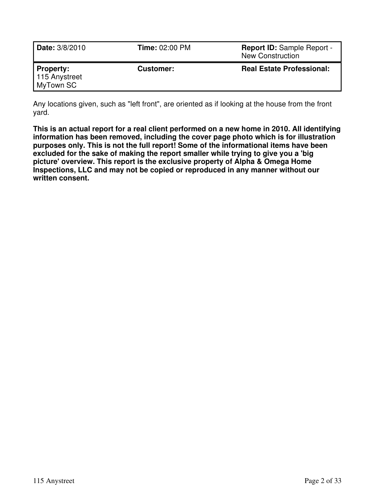| <b>Date:</b> 3/8/2010                   | <b>Time: 02:00 PM</b> | <b>Report ID: Sample Report -</b><br><b>New Construction</b> |
|-----------------------------------------|-----------------------|--------------------------------------------------------------|
| Property:<br>115 Anystreet<br>MyTown SC | Customer:             | <b>Real Estate Professional:</b>                             |

Any locations given, such as "left front", are oriented as if looking at the house from the front yard.

**This is an actual report for a real client performed on a new home in 2010. All identifying information has been removed, including the cover page photo which is for illustration purposes only. This is not the full report! Some of the informational items have been excluded for the sake of making the report smaller while trying to give you a 'big picture' overview. This report is the exclusive property of Alpha & Omega Home Inspections, LLC and may not be copied or reproduced in any manner without our written consent.**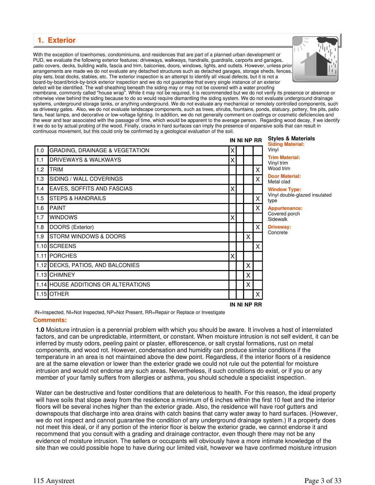#### **1. Exterior**

With the exception of townhomes, condominiums, and residences that are part of a planned urban development or PUD, we evaluate the following exterior features: driveways, walkways, handrails, guardrails, carports and garages, patio covers, decks, building walls, fascia and trim, balconies, doors, windows, lights, and outlets. However, unless prior arrangements are made we do not evaluate any detached structures such as detached garages, storage sheds, fences, play sets, boat docks, stables, etc. The exterior inspection is an attempt to identify all visual defects, but it is not a board-by-board/brick-by-brick exterior inspection and we do not guarantee that every single instance of an exterior defect will be identified. The wall sheathing beneath the siding may or may not be covered with a water proofing



membrane, commonly called "house wrap". While it may not be required, it is recommended but we do not verify its presence or absence or otherwise view behind the siding because to do so would require dismantling the siding system. We do not evaluate underground drainage systems, underground storage tanks, or anything underground. We do not evaluate any mechanical or remotely controlled components, such as driveway gates. Also, we do not evaluate landscape components, such as trees, shrubs, fountains, ponds, statuary, pottery, fire pits, patio fans, heat lamps, and decorative or low-voltage lighting. In addition, we do not generally comment on coatings or cosmetic deficiencies and the wear and tear associated with the passage of time, which would be apparent to the average person. Regarding wood decay, if we identify it we do so by actual probing of the wood. Finally, cracks in hard surfaces can imply the presence of expansive soils that can result in continuous movement, but this could only be confirmed by a geological evaluation of the soil.

| IN NI NP RR |                                           |   |  |   |             | <b>Styles &amp; Materials</b><br><b>Siding Material:</b> |
|-------------|-------------------------------------------|---|--|---|-------------|----------------------------------------------------------|
| 1.0         | <b>GRADING, DRAINAGE &amp; VEGETATION</b> | X |  |   |             | Vinyl                                                    |
| 1.1         | <b>IDRIVEWAYS &amp; WALKWAYS</b>          | Χ |  |   |             | <b>Trim Material:</b><br>Vinyl trim                      |
| 1.2         | <b>TRIM</b>                               |   |  |   | X.          | Wood trim                                                |
| 1.3         | SIDING / WALL COVERINGS                   |   |  |   | X           | <b>Door Material:</b><br>Metal clad                      |
| 1.4         | <b>EAVES, SOFFITS AND FASCIAS</b>         | Χ |  |   |             | <b>Window Type:</b>                                      |
| 1.5         | <b>STEPS &amp; HANDRAILS</b>              |   |  |   | X           | Vinyl double-glazed insulated<br>type                    |
| 1.6         | <b>I</b> PAINT                            |   |  |   | X.          | <b>Appurtenance:</b>                                     |
| 1.7         | <b>WINDOWS</b>                            | Χ |  |   |             | Covered porch<br>Sidewalk                                |
| 1.8         | DOORS (Exterior)                          |   |  |   | X.          | Driveway:                                                |
| 1.9         | <b>STORM WINDOWS &amp; DOORS</b>          |   |  | X |             | Concrete                                                 |
|             | 1.10 SCREENS                              |   |  |   | X.          |                                                          |
|             | 1.11 PORCHES                              | X |  |   |             |                                                          |
|             | 1.12 DECKS, PATIOS, AND BALCONIES         |   |  | X |             |                                                          |
|             | 1.13 CHIMNEY                              |   |  | Χ |             |                                                          |
|             | 1.14 HOUSE ADDITIONS OR ALTERATIONS       |   |  | Χ |             |                                                          |
|             | 1.15 OTHER                                |   |  |   | X.          |                                                          |
|             |                                           |   |  |   | IN NI NP RR |                                                          |

IN=Inspected, NI=Not Inspected, NP=Not Present, RR=Repair or Replace or Investigate

#### **Comments:**

**1.0** Moisture intrusion is a perennial problem with which you should be aware. It involves a host of interrelated factors, and can be unpredictable, intermittent, or constant. When moisture intrusion is not self evident, it can be inferred by musty odors, peeling paint or plaster, efflorescence, or salt crystal formations, rust on metal components, and wood rot. However, condensation and humidity can produce similar conditions if the temperature in an area is not maintained above the dew point. Regardless, if the interior floors of a residence are at the same elevation or lower than the exterior grade we could not rule out the potential for moisture intrusion and would not endorse any such areas. Nevertheless, if such conditions do exist, or if you or any member of your family suffers from allergies or asthma, you should schedule a specialist inspection.

Water can be destructive and foster conditions that are deleterious to health. For this reason, the ideal property will have soils that slope away from the residence a minimum of 6 inches within the first 10 feet and the interior floors will be several inches higher than the exterior grade. Also, the residence will have roof gutters and downspouts that discharge into area drains with catch basins that carry water away to hard surfaces. (However, we do not inspect and cannot guarantee the condition of any underground drainage system.) If a property does not meet this ideal, or if any portion of the interior floor is below the exterior grade, we cannot endorse it and recommend that you consult with a grading and drainage contractor, even though there may not be any evidence of moisture intrusion. The sellers or occupants will obviously have a more intimate knowledge of the site than we could possible hope to have during our limited visit, however we have confirmed moisture intrusion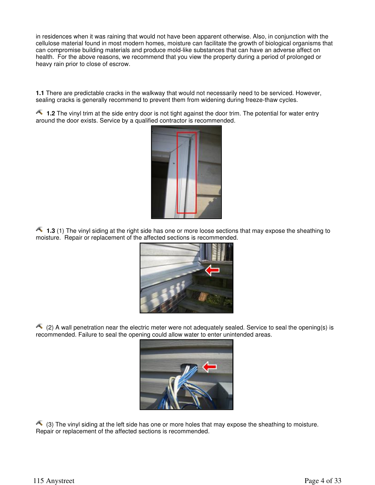in residences when it was raining that would not have been apparent otherwise. Also, in conjunction with the cellulose material found in most modern homes, moisture can facilitate the growth of biological organisms that can compromise building materials and produce mold-like substances that can have an adverse affect on health. For the above reasons, we recommend that you view the property during a period of prolonged or heavy rain prior to close of escrow.

**1.1** There are predictable cracks in the walkway that would not necessarily need to be serviced. However, sealing cracks is generally recommend to prevent them from widening during freeze-thaw cycles.

1.2 The vinyl trim at the side entry door is not tight against the door trim. The potential for water entry around the door exists. Service by a qualified contractor is recommended.



1.3 (1) The vinyl siding at the right side has one or more loose sections that may expose the sheathing to moisture. Repair or replacement of the affected sections is recommended.



 $(2)$  A wall penetration near the electric meter were not adequately sealed. Service to seal the opening(s) is recommended. Failure to seal the opening could allow water to enter unintended areas.



 $\triangle$  (3) The vinyl siding at the left side has one or more holes that may expose the sheathing to moisture. Repair or replacement of the affected sections is recommended.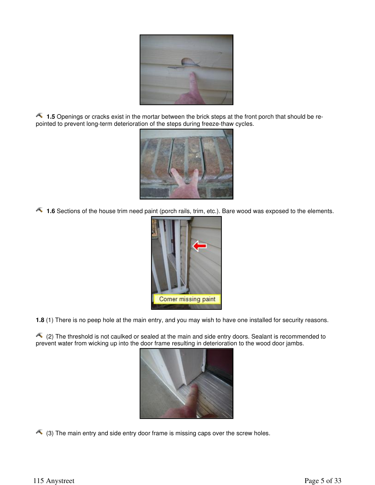

1.5 Openings or cracks exist in the mortar between the brick steps at the front porch that should be repointed to prevent long-term deterioration of the steps during freeze-thaw cycles.



1.6 Sections of the house trim need paint (porch rails, trim, etc.). Bare wood was exposed to the elements.



**1.8** (1) There is no peep hole at the main entry, and you may wish to have one installed for security reasons.

 $\triangle$  (2) The threshold is not caulked or sealed at the main and side entry doors. Sealant is recommended to prevent water from wicking up into the door frame resulting in deterioration to the wood door jambs.



 $\triangle$  (3) The main entry and side entry door frame is missing caps over the screw holes.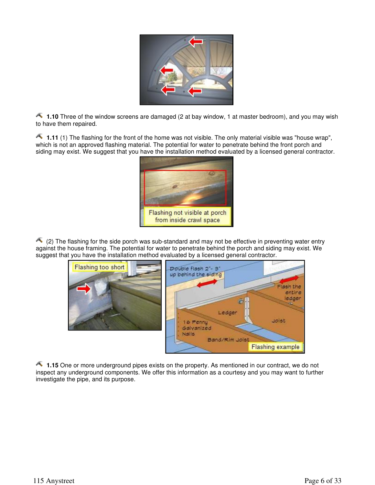

1.10 Three of the window screens are damaged (2 at bay window, 1 at master bedroom), and you may wish to have them repaired.

1.11 (1) The flashing for the front of the home was not visible. The only material visible was "house wrap", which is not an approved flashing material. The potential for water to penetrate behind the front porch and siding may exist. We suggest that you have the installation method evaluated by a licensed general contractor.



 $\triangle$  (2) The flashing for the side porch was sub-standard and may not be effective in preventing water entry against the house framing. The potential for water to penetrate behind the porch and siding may exist. We suggest that you have the installation method evaluated by a licensed general contractor.



1.15 One or more underground pipes exists on the property. As mentioned in our contract, we do not inspect any underground components. We offer this information as a courtesy and you may want to further investigate the pipe, and its purpose.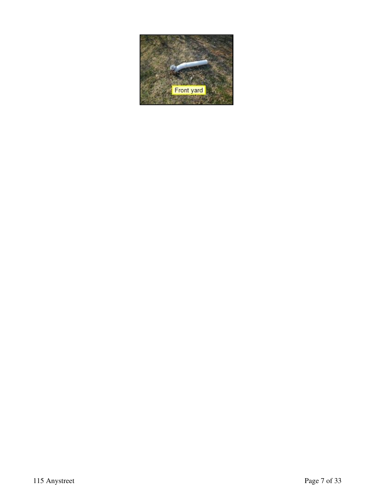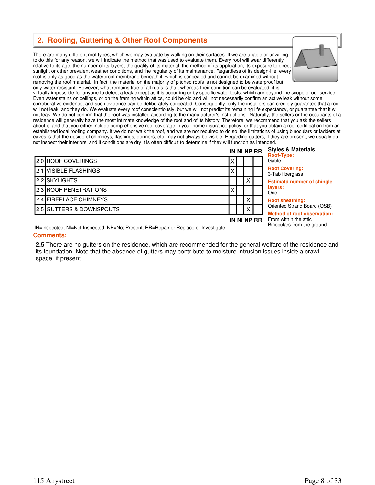#### **2. Roofing, Guttering & Other Roof Components**

There are many different roof types, which we may evaluate by walking on their surfaces. If we are unable or unwilling to do this for any reason, we will indicate the method that was used to evaluate them. Every roof will wear differently relative to its age, the number of its layers, the quality of its material, the method of its application, its exposure to direct sunlight or other prevalent weather conditions, and the regularity of its maintenance. Regardless of its design-life, every roof is only as good as the waterproof membrane beneath it, which is concealed and cannot be examined without removing the roof material. In fact, the material on the majority of pitched roofs is not designed to be waterproof but only water-resistant. However, what remains true of all roofs is that, whereas their condition can be evaluated, it is



virtually impossible for anyone to detect a leak except as it is occurring or by specific water tests, which are beyond the scope of our service. Even water stains on ceilings, or on the framing within attics, could be old and will not necessarily confirm an active leak without some corroborative evidence, and such evidence can be deliberately concealed. Consequently, only the installers can credibly guarantee that a roof will not leak, and they do. We evaluate every roof conscientiously, but we will not predict its remaining life expectancy, or guarantee that it will not leak. We do not confirm that the roof was installed according to the manufacturer's instructions. Naturally, the sellers or the occupants of a residence will generally have the most intimate knowledge of the roof and of its history. Therefore, we recommend that you ask the sellers about it, and that you either include comprehensive roof coverage in your home insurance policy, or that you obtain a roof certification from an established local roofing company. If we do not walk the roof, and we are not required to do so, the limitations of using binoculars or ladders at eaves is that the upside of chimneys, flashings, dormers, etc. may not always be visible. Regarding gutters, if they are present, we usually do not inspect their interiors, and if conditions are dry it is often difficult to determine if they will function as intended.

|  |                                     | IN NI NP RR |  |   |  | <b>Styles &amp; Materials</b><br><b>Roof-Type:</b>                |
|--|-------------------------------------|-------------|--|---|--|-------------------------------------------------------------------|
|  | <b>2.0 ROOF COVERINGS</b>           |             |  |   |  | Gable                                                             |
|  | <b>1</b> 2.1 IVISIBLE FLASHINGS     |             |  |   |  | <b>Roof Covering:</b><br>3-Tab fiberglass                         |
|  | 2.2 ISKYLIGHTS                      |             |  | ⌒ |  | <b>Estimatd number of shingle</b>                                 |
|  | <b>12.3 ROOF PENETRATIONS</b>       |             |  |   |  | layers:<br>One                                                    |
|  | 2.4 FIREPLACE CHIMNEYS              |             |  | ⌒ |  | <b>Roof sheathing:</b>                                            |
|  | <b>2.5 GUTTERS &amp; DOWNSPOUTS</b> |             |  | ↗ |  | Oriented Strand Board (OSB)<br><b>Method of roof observation:</b> |
|  |                                     | IN NI NP RR |  |   |  | From within the attic<br>Binoculars from the ground               |

IN=Inspected, NI=Not Inspected, NP=Not Present, RR=Repair or Replace or Investigate

#### **Comments:**

**2.5** There are no gutters on the residence, which are recommended for the general welfare of the residence and its foundation. Note that the absence of gutters may contribute to moisture intrusion issues inside a crawl space, if present.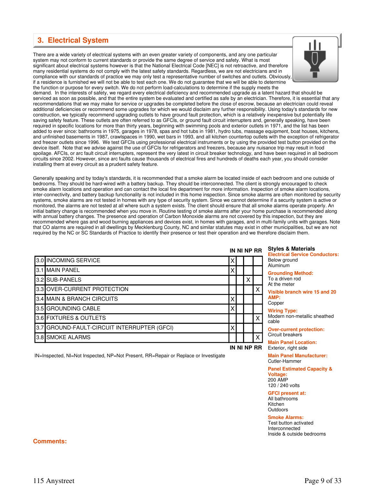#### **3. Electrical System**

There are a wide variety of electrical systems with an even greater variety of components, and any one particular system may not conform to current standards or provide the same degree of service and safety. What is most significant about electrical systems however is that the National Electrical Code [NEC] is not retroactive, and therefore many residential systems do not comply with the latest safety standards. Regardless, we are not electricians and in compliance with our standards of practice we may only test a representative number of switches and outlets. Obviously, if a residence is furnished we will not be able to test each one. We do not guarantee that we will be able to determine



the function or purpose for every switch. We do not perform load-calculations to determine if the supply meets the demand. In the interests of safety, we regard every electrical deficiency and recommended upgrade as a latent hazard that should be serviced as soon as possible, and that the entire system be evaluated and certified as safe by an electrician. Therefore, it is essential that any recommendations that we may make for service or upgrades be completed before the close of escrow, because an electrician could reveal additional deficiencies or recommend some upgrades for which we would disclaim any further responsibility. Using today's standards for new construction, we typically recommend upgrading outlets to have ground fault protection, which is a relatively inexpensive but potentially life saving safety feature. These outlets are often referred to as GFCIs, or ground fault circuit interrupters and, generally speaking, have been required in specific locations for more than thirty years, beginning with swimming pools and exterior outlets in 1971, and the list has been added to ever since: bathrooms in 1975, garages in 1978, spas and hot tubs in 1981, hydro tubs, massage equipment, boat houses, kitchens, and unfinished basements in 1987, crawlspaces in 1990, wet bars in 1993, and all kitchen countertop outlets with the exception of refrigerator and freezer outlets since 1996. We test GFCIs using professional electrical instruments or by using the provided test button provided on the device itself. Note that we advise against the use of GFCIs for refrigerators and freezers, because any nuisance trip may result in food spoilage. AFCIs, or arc fault circuit interrupters, represent the very latest in circuit breaker technology, and have been required in all bedroom circuits since 2002. However, since arc faults cause thousands of electrical fires and hundreds of deaths each year, you should consider installing them at every circuit as a prudent safety feature.

Generally speaking and by today's standards, it is recommended that a smoke alarm be located inside of each bedroom and one outside of bedrooms. They should be hard-wired with a battery backup. They should be interconnected. The client is strongly encouraged to check smoke alarm locations and operation and can contact the local fire department for more information. Inspection of smoke alarm locations, inter-connectivity, and battery backup functionality is not included in this home inspection. Since smoke alarms are often monitored by security systems, smoke alarms are not tested in homes with any type of security system. Since we cannot determine if a security system is active or monitored, the alarms are not tested at all where such a system exists. The client should ensure that all smoke alarms operate properly. An initial battery change is recommended when you move in. Routine testing of smoke alarms after your home purchase is recommended along with annual battery changes. The presence and operation of Carbon Monoxide alarms are not covered by this inspection, but they are recommended where gas and wood burning appliances and devices exist, in homes with garages, and in multi-family units with garages. Note that CO alarms are required in all dwellings by Mecklenburg County, NC and similar statutes may exist in other municipalities, but we are not required by the NC or SC Standards of Practice to identify their presence or test their operation and we therefore disclaim them.

|     | 3.0 INCOMING SERVICE                    | Χ |   |                           |
|-----|-----------------------------------------|---|---|---------------------------|
|     | 3.1 MAIN PANEL                          | Χ |   |                           |
|     | 3.2 SUB-PANELS                          |   | x |                           |
|     | 3.3 OVER-CURRENT PROTECTION             |   |   | Χ                         |
|     | 3.4 MAIN & BRANCH CIRCUITS              | Χ |   |                           |
|     | 3.5 GROUNDING CABLE                     | X |   |                           |
|     | 3.6 FIXTURES & OUTLETS                  |   |   | Χ                         |
| 3.7 | GROUND-FAULT-CIRCUIT INTERRUPTER (GFCI) | x |   |                           |
| 3.8 | <b>SMOKE ALARMS</b>                     |   |   | $\boldsymbol{\mathsf{X}}$ |

IN=Inspected, NI=Not Inspected, NP=Not Present, RR=Repair or Replace or Investigate

#### **IN NI NP RR Styles & Materials**

**Electrical Service Conductors:** elow ground Aluminum

**rounding Method:** o a driven rod the meter

**Visible branch wire 15 and 20 AMP:**

opper

**IN NI NP RR**

**Wiring Type:**

lodern non-metallic sheathed able

**Over-current protection:** ircuit breakers

**Main Panel Location:** Exterior, right side

**Main Panel Manufacturer:** Cutler-Hammer

**Panel Estimated Capacity & Voltage:** 200 AMP 120 / 240 volts

**GFCI present at:** All bathrooms Kitchen Outdoors

**Smoke Alarms:**

Test button activated Interconnected Inside & outside bedrooms

#### **Comments:**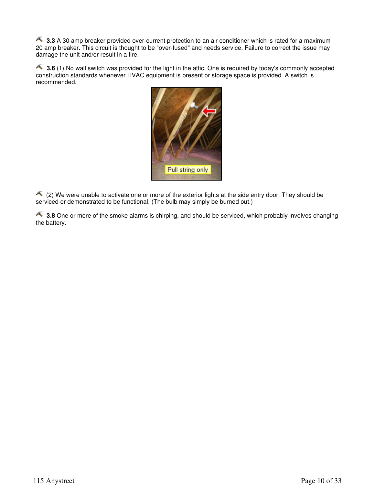**3.3** A 30 amp breaker provided over-current protection to an air conditioner which is rated for a maximum 20 amp breaker. This circuit is thought to be "over-fused" and needs service. Failure to correct the issue may damage the unit and/or result in a fire.

**3.6** (1) No wall switch was provided for the light in the attic. One is required by today's commonly accepted construction standards whenever HVAC equipment is present or storage space is provided. A switch is recommended.



 (2) We were unable to activate one or more of the exterior lights at the side entry door. They should be serviced or demonstrated to be functional. (The bulb may simply be burned out.)

**3.8** One or more of the smoke alarms is chirping, and should be serviced, which probably involves changing the battery.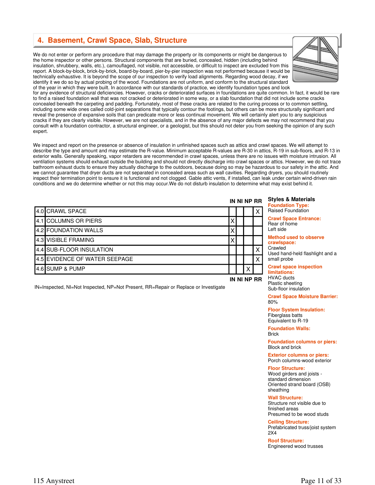#### **4. Basement, Crawl Space, Slab, Structure**

We do not enter or perform any procedure that may damage the property or its components or might be dangerous to the home inspector or other persons. Structural components that are buried, concealed, hidden (including behind insulation, shrubbery, walls, etc.), camouflaged, not visible, not accessible, or difficult to inspect are excluded from this report. A block-by-block, brick-by-brick, board-by-board, pier-by-pier inspection was not performed because it would be technically exhaustive. It is beyond the scope of our inspection to verify load alignments. Regarding wood decay, if we identify it we do so by actual probing of the wood. Foundations are not uniform, and conform to the structural standard of the year in which they were built. In accordance with our standards of practice, we identify foundation types and look



for any evidence of structural deficiencies. However, cracks or deteriorated surfaces in foundations are quite common. In fact, it would be rare to find a raised foundation wall that was not cracked or deteriorated in some way, or a slab foundation that did not include some cracks concealed beneath the carpeting and padding. Fortunately, most of these cracks are related to the curing process or to common settling, including some wide ones called cold-joint separations that typically contour the footings, but others can be more structurally significant and reveal the presence of expansive soils that can predicate more or less continual movement. We will certainly alert you to any suspicious cracks if they are clearly visible. However, we are not specialists, and in the absence of any major defects we may not recommend that you consult with a foundation contractor, a structural engineer, or a geologist, but this should not deter you from seeking the opinion of any such expert.

We inspect and report on the presence or absence of insulation in unfinished spaces such as attics and crawl spaces. We will attempt to describe the type and amount and may estimate the R-value. Minimum acceptable R-values are R-30 in attics, R-19 in sub-floors, and R-13 in exterior walls. Generally speaking, vapor retarders are recommended in crawl spaces, unless there are no issues with moisture intrusion. All ventilation systems should exhaust outside the building and should not directly discharge into crawl spaces or attics. However, we do not trace bathroom exhaust ducts to ensure they actually discharge to the outdoors, because doing so may be hazardous to our safety in the attic. And we cannot guarantee that dryer ducts are not separated in concealed areas such as wall cavities. Regarding dryers, you should routinely inspect their termination point to ensure it is functional and not clogged. Gable attic vents, if installed, can leak under certain wind-driven rain conditions and we do determine whether or not this may occur.We do not disturb insulation to determine what may exist behind it.

|                               |   | IN NI NP RR |  |             |                                                     |  |  |  |
|-------------------------------|---|-------------|--|-------------|-----------------------------------------------------|--|--|--|
| 4.0 CRAWL SPACE               |   |             |  |             | <b>Foundation Type:</b><br><b>Raised Foundation</b> |  |  |  |
| 4.1 COLUMNS OR PIERS          |   |             |  |             | <b>Crawl Space Entrand</b><br>Rear of home          |  |  |  |
| 4.2 FOUNDATION WALLS          |   |             |  |             | Left side                                           |  |  |  |
| 4.3 VISIBLE FRAMING           | Χ |             |  |             | <b>Method used to obse</b><br>crawlspace:           |  |  |  |
| 4.4 SUB-FLOOR INSULATION      |   |             |  |             | Crawled<br>Used hand-held flashl                    |  |  |  |
| 4.5 EVIDENCE OF WATER SEEPAGE |   |             |  | X           | small probe                                         |  |  |  |
| 4.6 SUMP & PUMP               |   |             |  |             | <b>Crawl space inspecti</b><br>limitations:         |  |  |  |
|                               |   |             |  | IN NI NP RR | <b>HVAC</b> ducts<br>.                              |  |  |  |

**Crawl space inspection limitations:** HVAC ducts Plastic sheeting Sub-floor insulation

**Foundation Type:** Raised Foundation **Crawl Space Entrance:**

**Method used to observe** 

**Crawl Space Moisture Barrier:** 80%

Used hand-held flashlight and a

**Floor System Insulation:** Fiberglass batts Equivalent to R-19

**Foundation Walls:** Brick

**Foundation columns or piers:** Block and brick

**Exterior columns or piers:** Porch columns-wood exterior

**Floor Structure:**

Wood girders and joists standard dimension Oriented strand board (OSB) sheathing

**Wall Structure:** Structure not visible due to finished areas Presumed to be wood studs

**Ceiling Structure:**

Prefabricated truss/joist system 2X4

**Roof Structure:** Engineered wood trusses

IN=Inspected, NI=Not Inspected, NP=Not Present, RR=Repair or Replace or Investigate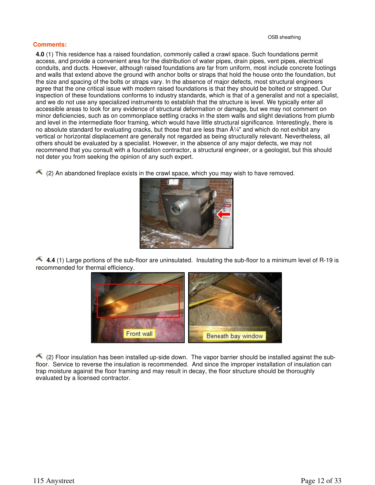#### **Comments:**

**4.0** (1) This residence has a raised foundation, commonly called a crawl space. Such foundations permit access, and provide a convenient area for the distribution of water pipes, drain pipes, vent pipes, electrical conduits, and ducts. However, although raised foundations are far from uniform, most include concrete footings and walls that extend above the ground with anchor bolts or straps that hold the house onto the foundation, but the size and spacing of the bolts or straps vary. In the absence of major defects, most structural engineers agree that the one critical issue with modern raised foundations is that they should be bolted or strapped. Our inspection of these foundations conforms to industry standards, which is that of a generalist and not a specialist, and we do not use any specialized instruments to establish that the structure is level. We typically enter all accessible areas to look for any evidence of structural deformation or damage, but we may not comment on minor deficiencies, such as on commonplace settling cracks in the stem walls and slight deviations from plumb and level in the intermediate floor framing, which would have little structural significance. Interestingly, there is no absolute standard for evaluating cracks, but those that are less than  $\hat{A}\frac{1}{4}$ " and which do not exhibit any vertical or horizontal displacement are generally not regarded as being structurally relevant. Nevertheless, all others should be evaluated by a specialist. However, in the absence of any major defects, we may not recommend that you consult with a foundation contractor, a structural engineer, or a geologist, but this should not deter you from seeking the opinion of any such expert.

 $(2)$  An abandoned fireplace exists in the crawl space, which you may wish to have removed.



**4.4** (1) Large portions of the sub-floor are uninsulated. Insulating the sub-floor to a minimum level of R-19 is recommended for thermal efficiency.



 (2) Floor insulation has been installed up-side down. The vapor barrier should be installed against the subfloor. Service to reverse the insulation is recommended. And since the improper installation of insulation can trap moisture against the floor framing and may result in decay, the floor structure should be thoroughly evaluated by a licensed contractor.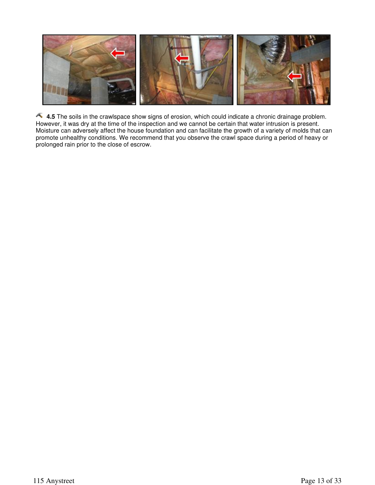

**4.5** The soils in the crawlspace show signs of erosion, which could indicate a chronic drainage problem. However, it was dry at the time of the inspection and we cannot be certain that water intrusion is present. Moisture can adversely affect the house foundation and can facilitate the growth of a variety of molds that can promote unhealthy conditions. We recommend that you observe the crawl space during a period of heavy or prolonged rain prior to the close of escrow.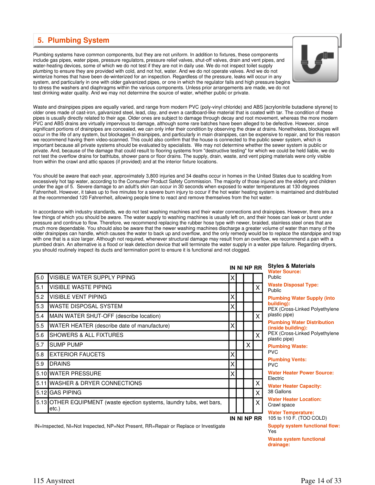#### **5. Plumbing System**

Plumbing systems have common components, but they are not uniform. In addition to fixtures, these components include gas pipes, water pipes, pressure regulators, pressure relief valves, shut-off valves, drain and vent pipes, and water-heating devices, some of which we do not test if they are not in daily use. We do not inspect toilet supply plumbing to ensure they are provided with cold, and not hot, water. And we do not operate valves. And we do not winterize homes that have been de-winterized for an inspection. Regardless of the pressure, leaks will occur in any system, and particularly in one with older galvanized pipes, or one in which the regulator fails and high pressure begins to stress the washers and diaphragms within the various components. Unless prior arrangements are made, we do not test drinking water quality. And we may not determine the source of water, whether public or private.



Waste and drainpipes pipes are equally varied, and range from modern PVC (poly-vinyl chloride) and ABS [acrylonitrile butadiene styrene] to older ones made of cast-iron, galvanized steel, lead, clay, and even a cardboard-like material that is coated with tar. The condition of these pipes is usually directly related to their age. Older ones are subject to damage through decay and root movement, whereas the more modern PVC and ABS drains are virtually impervious to damage, although some rare batches have been alleged to be defective. However, since significant portions of drainpipes are concealed, we can only infer their condition by observing the draw at drains. Nonetheless, blockages will occur in the life of any system, but blockages in drainpipes, and particularly in main drainpipes, can be expensive to repair, and for this reason we recommend having them video-scanned. This could also confirm that the house is connected to the public sewer system, which is important because all private systems should be evaluated by specialists. We may not determine whether the sewer system is public or private. And, because of the damage that could result to flooring systems from "destructive testing" for which we could be held liable, we do not test the overflow drains for bathtubs, shower pans or floor drains. The supply, drain, waste, and vent piping materials were only visible from within the crawl and attic spaces (if provided) and at the interior fixture locations.

You should be aware that each year, approximately 3,800 injuries and 34 deaths occur in homes in the United States due to scalding from excessively hot tap water, according to the Consumer Product Safety Commission. The majority of those injured are the elderly and children under the age of 5. Severe damage to an adult's skin can occur in 30 seconds when exposed to water temperatures at 130 degrees Fahrenheit. However, it takes up to five minutes for a severe burn injury to occur if the hot water heating system is maintained and distributed at the recommended 120 Fahrenheit, allowing people time to react and remove themselves from the hot water.

In accordance with industry standards, we do not test washing machines and their water connections and drainpipes. However, there are a few things of which you should be aware. The water supply to washing machines is usually left on, and their hoses can leak or burst under pressure and continue to flow. Therefore, we recommend replacing the rubber hose type with newer, braided, stainless steel ones that are much more dependable. You should also be aware that the newer washing machines discharge a greater volume of water than many of the older drainpipes can handle, which causes the water to back up and overflow, and the only remedy would be to replace the standpipe and trap with one that is a size larger. Although not required, whenever structural damage may result from an overflow, we recommend a pan with a plumbed drain. An alternative is a flood or leak detection device that will terminate the water supply in a water pipe failure. Regarding dryers, you should routinely inspect its ducts and termination point to ensure it is functional and not clogged.

|     |                                                                                |   |  |   |             | <b>Styles &amp; Materials</b><br>IN NI NP RR<br><b>Water Source:</b> |  |  |
|-----|--------------------------------------------------------------------------------|---|--|---|-------------|----------------------------------------------------------------------|--|--|
| 5.0 | <b>VISIBLE WATER SUPPLY PIPING</b>                                             | Χ |  |   |             | Public                                                               |  |  |
| 5.1 | <b>VISIBLE WASTE PIPING</b>                                                    |   |  |   | X           | <b>Waste Disposal Type</b><br>Public                                 |  |  |
| 5.2 | VISIBLE VENT PIPING                                                            | X |  |   |             | <b>Plumbing Water Sup</b>                                            |  |  |
| 5.3 | <b>WASTE DISPOSAL SYSTEM</b>                                                   | X |  |   |             | building):<br>PEX (Cross-Linked Po                                   |  |  |
| 5.4 | MAIN WATER SHUT-OFF (describe location)                                        |   |  |   | X           | plastic pipe)                                                        |  |  |
| 5.5 | WATER HEATER (describe date of manufacture)                                    | X |  |   |             | <b>Plumbing Water Dist</b><br>(inside building):                     |  |  |
| 5.6 | <b>SHOWERS &amp; ALL FIXTURES</b>                                              |   |  |   | X           | PEX (Cross-Linked Po<br>plastic pipe)                                |  |  |
| 5.7 | <b>ISUMP PUMP</b>                                                              |   |  | X |             | <b>Plumbing Waste:</b>                                               |  |  |
| 5.8 | <b>EXTERIOR FAUCETS</b>                                                        | X |  |   |             | <b>PVC</b>                                                           |  |  |
| 5.9 | <b>IDRAINS</b>                                                                 | X |  |   |             | <b>Plumbing Vents:</b><br><b>PVC</b>                                 |  |  |
|     | 5.10 WATER PRESSURE                                                            | X |  |   |             | <b>Water Heater Power</b><br>Electric                                |  |  |
|     | 5.11 WASHER & DRYER CONNECTIONS                                                |   |  |   | X           | <b>Water Heater Capaci</b>                                           |  |  |
|     | 5.12 GAS PIPING                                                                |   |  |   | X           | 38 Gallons                                                           |  |  |
|     | 5.13 OTHER EQUIPMENT (waste ejection systems, laundry tubs, wet bars,<br>etc.) |   |  |   | X           | <b>Water Heater Location</b><br>Crawl space                          |  |  |
|     |                                                                                |   |  |   | IN NI NP RR | <b>Water Temperature:</b><br>105 to 110 F. (TOO C                    |  |  |

**Water Source:** Public **Waste Disposal Type:** Public

**Plumbing Water Supply (into building):** PEX (Cross-Linked Polyethylene plastic pipe) **Plumbing Water Distribution (inside building):** PEX (Cross-Linked Polyethylene plastic pipe) **Plumbing Waste:** PVC **Plumbing Vents:** PVC **Water Heater Power Source:** Electric **Water Heater Capacity:** 38 Gallons **Water Heater Location:** Crawl space **Water Temperature:** 105 to 110 F. (TOO COLD) **Supply system functional flow:** Yes

**Waste system functional drainage:**

IN=Inspected, NI=Not Inspected, NP=Not Present, RR=Repair or Replace or Investigate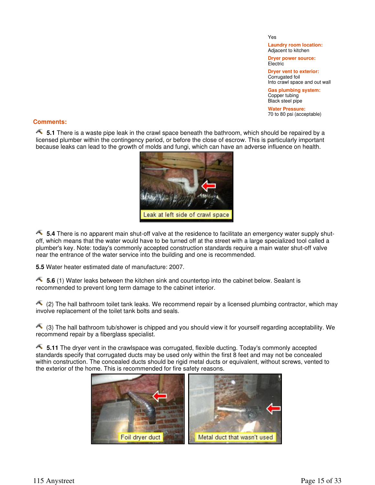Yes

**Laundry room location:** Adjacent to kitchen

**Dryer power source: Electric** 

**Dryer vent to exterior:** Corrugated foil Into crawl space and out wall

**Gas plumbing system:** Copper tubing Black steel pipe

**Water Pressure:** 70 to 80 psi (acceptable)

#### **Comments:**

**5.1** There is a waste pipe leak in the crawl space beneath the bathroom, which should be repaired by a licensed plumber within the contingency period, or before the close of escrow. This is particularly important because leaks can lead to the growth of molds and fungi, which can have an adverse influence on health.



**5.4** There is no apparent main shut-off valve at the residence to facilitate an emergency water supply shutoff, which means that the water would have to be turned off at the street with a large specialized tool called a plumber's key. Note: today's commonly accepted construction standards require a main water shut-off valve near the entrance of the water service into the building and one is recommended.

**5.5** Water heater estimated date of manufacture: 2007.

**5.6** (1) Water leaks between the kitchen sink and countertop into the cabinet below. Sealant is recommended to prevent long term damage to the cabinet interior.

 $(2)$  The hall bathroom toilet tank leaks. We recommend repair by a licensed plumbing contractor, which may involve replacement of the toilet tank bolts and seals.

 $\triangle$  (3) The hall bathroom tub/shower is chipped and you should view it for yourself regarding acceptability. We recommend repair by a fiberglass specialist.

**5.11** The dryer vent in the crawlspace was corrugated, flexible ducting. Today's commonly accepted standards specify that corrugated ducts may be used only within the first 8 feet and may not be concealed within construction. The concealed ducts should be rigid metal ducts or equivalent, without screws, vented to the exterior of the home. This is recommended for fire safety reasons.

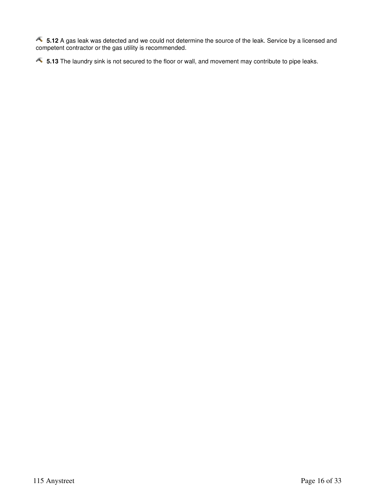**5.12** A gas leak was detected and we could not determine the source of the leak. Service by a licensed and competent contractor or the gas utility is recommended.

**5.13** The laundry sink is not secured to the floor or wall, and movement may contribute to pipe leaks.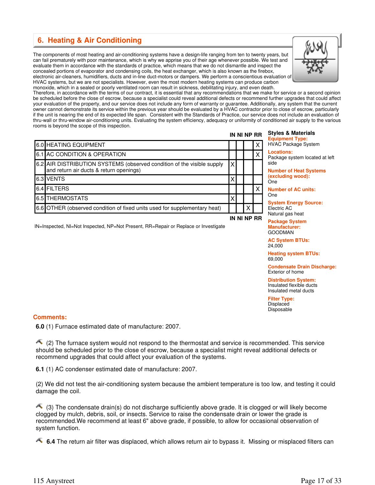#### **6. Heating & Air Conditioning**

The components of most heating and air-conditioning systems have a design-life ranging from ten to twenty years, but can fail prematurely with poor maintenance, which is why we apprise you of their age whenever possible. We test and evaluate them in accordance with the standards of practice, which means that we do not dismantle and inspect the concealed portions of evaporator and condensing coils, the heat exchanger, which is also known as the firebox, electronic air-cleaners, humidifiers, ducts and in-line duct-motors or dampers. We perform a conscientious evaluation of HVAC systems, but we are not specialists. However, even the most modern heating systems can produce carbon monoxide, which in a sealed or poorly ventilated room can result in sickness, debilitating injury, and even death.



Therefore, in accordance with the terms of our contract, it is essential that any recommendations that we make for service or a second opinion be scheduled before the close of escrow, because a specialist could reveal additional defects or recommend further upgrades that could affect your evaluation of the property, and our service does not include any form of warranty or guarantee. Additionally, any system that the current owner cannot demonstrate its service within the previous year should be evaluated by a HVAC contractor prior to close of escrow, particularly if the unit is nearing the end of its expected life span. Consistent with the Standards of Practice, our service does not include an evaluation of thru-wall or thru-window air-conditioning units. Evaluating the system efficiency, adequacy or uniformity of conditioned air supply to the various rooms is beyond the scope of this inspection.

|                                                                                                                   |   | IN NI NP RR |   |
|-------------------------------------------------------------------------------------------------------------------|---|-------------|---|
| 6.0 HEATING EQUIPMENT                                                                                             |   |             | X |
| 6.1 AC CONDITION & OPERATION                                                                                      |   |             | Χ |
| 6.2 AIR DISTRIBUTION SYSTEMS (observed condition of the visible supply<br>and return air ducts & return openings) | Χ |             |   |
| 6.3 VENTS                                                                                                         | Χ |             |   |
| 6.4 FILTERS                                                                                                       |   |             | Χ |
| 6.5 THERMOSTATS                                                                                                   | Х |             |   |
| 6.6 OTHER (observed condition of fixed units used for supplementary heat)                                         |   |             |   |
|                                                                                                                   |   | IN NI NP RR |   |

#### **IN NI NP RR Styles & Materials Equipment Type:**

HVAC Package System

**Locations:** Package system located at left side

**Number of Heat Systems (excluding wood):** One

**Number of AC units:** One

**System Energy Source:** Electric AC

Natural gas heat

**Package System Manufacturer:** GOODMAN

**AC System BTUs:** 24,000

**Heating system BTUs:** 69,000

**Condensate Drain Discharge:** Exterior of home

**Distribution System:** Insulated flexible ducts Insulated metal ducts

**Filter Type:** Displaced Disposable

#### IN=Inspected, NI=Not Inspected, NP=Not Present, RR=Repair or Replace or Investigate

#### **Comments:**

**6.0** (1) Furnace estimated date of manufacture: 2007.

 $\triangle$  (2) The furnace system would not respond to the thermostat and service is recommended. This service should be scheduled prior to the close of escrow, because a specialist might reveal additional defects or recommend upgrades that could affect your evaluation of the systems.

**6.1** (1) AC condenser estimated date of manufacture: 2007.

(2) We did not test the air-conditioning system because the ambient temperature is too low, and testing it could damage the coil.

 (3) The condensate drain(s) do not discharge sufficiently above grade. It is clogged or will likely become clogged by mulch, debris, soil, or insects. Service to raise the condensate drain or lower the grade is recommended.We recommend at least 6" above grade, if possible, to allow for occasional observation of system function.

**6.4** The return air filter was displaced, which allows return air to bypass it. Missing or misplaced filters can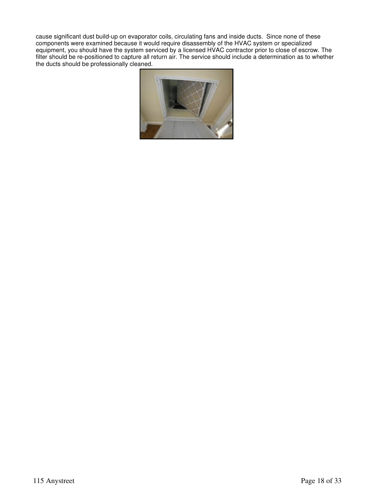cause significant dust build-up on evaporator coils, circulating fans and inside ducts. Since none of these components were examined because it would require disassembly of the HVAC system or specialized equipment, you should have the system serviced by a licensed HVAC contractor prior to close of escrow. The filter should be re-positioned to capture all return air. The service should include a determination as to whether the ducts should be professionally cleaned.

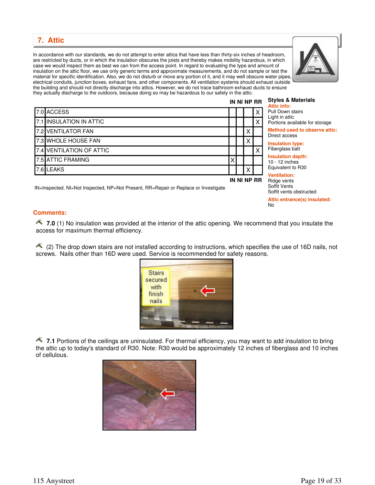**7. Attic** 

In accordance with our standards, we do not attempt to enter attics that have less than thirty-six inches of headroom, are restricted by ducts, or in which the insulation obscures the joists and thereby makes mobility hazardous, in which case we would inspect them as best we can from the access point. In regard to evaluating the type and amount of insulation on the attic floor, we use only generic terms and approximate measurements, and do not sample or test the material for specific identification. Also, we do not disturb or move any portion of it, and it may well obscure water pipes, electrical conduits, junction boxes, exhaust fans, and other components. All ventilation systems should exhaust outside the building and should not directly discharge into attics. However, we do not trace bathroom exhaust ducts to ensure they actually discharge to the outdoors, because doing so may be hazardous to our safety in the attic.

7.0 ACCESS X 7.1 INSULATION IN ATTIC **And in the set of the set of the set of the set of the set of the set of the set of th** 7.2 VENTILATOR FAN XIII DE LA SERVICE DE LA SERVICE DE LA SERVICE DE LA SERVICE DE LA SERVICE DE LA SERVICE DE 7.3 WHOLE HOUSE FAN X 7.4 VENTILATION OF ATTIC X

7.6 LEAKS  $\begin{bmatrix} 1 & 0 & 0 \end{bmatrix}$ 

IN=Inspected, NI=Not Inspected, NP=Not Present, RR=Repair or Replace or Investigate

7.5 ATTIC FRAMING X

#### **IN NI NP RR Styles & Materials Attic info:**

**IN NI NP RR**

| <b>Pull Down stairs</b>        |
|--------------------------------|
| Light in attic                 |
| Portions available for storage |
| Method used to observe attic:  |

Direct access

**Insulation type:** Fiberglass batt

**Insulation depth:** 10 - 12 inches Equivalent to R30

**Ventilation:** Ridge vents Soffit Vents Soffit vents obstructed

**Attic entrance(s) insulated:** No

#### **Comments:**

**7.0** (1) No insulation was provided at the interior of the attic opening. We recommend that you insulate the access for maximum thermal efficiency.

 (2) The drop down stairs are not installed according to instructions, which specifies the use of 16D nails, not screws. Nails other than 16D were used. Service is recommended for safety reasons.

**1.1** Portions of the ceilings are uninsulated. For thermal efficiency, you may want to add insulation to bring the attic up to today's standard of R30. Note: R30 would be approximately 12 inches of fiberglass and 10 inches of cellulous.





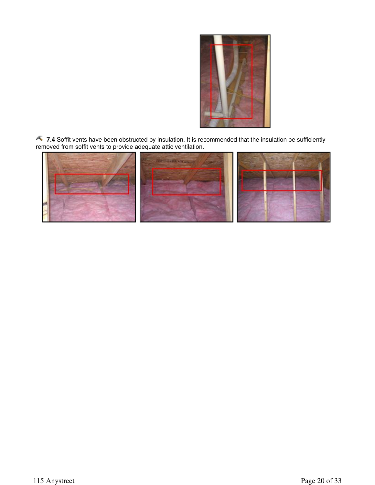

**7.4** Soffit vents have been obstructed by insulation. It is recommended that the insulation be sufficiently removed from soffit vents to provide adequate attic ventilation.

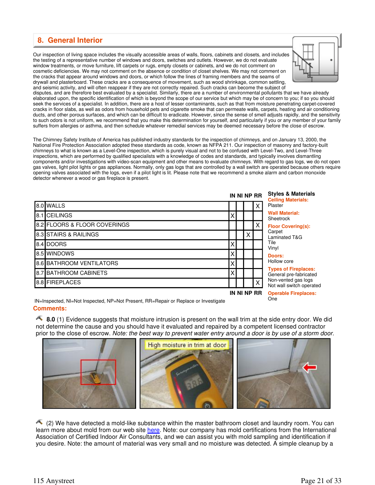#### **8. General Interior**

Our inspection of living space includes the visually accessible areas of walls, floors, cabinets and closets, and includes the testing of a representative number of windows and doors, switches and outlets. However, we do not evaluate window treatments, or move furniture, lift carpets or rugs, empty closets or cabinets, and we do not comment on cosmetic deficiencies. We may not comment on the absence or condition of closet shelves. We may not comment on the cracks that appear around windows and doors, or which follow the lines of framing members and the seams of drywall and plasterboard. These cracks are a consequence of movement, such as wood shrinkage, common settling, and seismic activity, and will often reappear if they are not correctly repaired. Such cracks can become the subject of



disputes, and are therefore best evaluated by a specialist. Similarly, there are a number of environmental pollutants that we have already elaborated upon, the specific identification of which is beyond the scope of our service but which may be of concern to you; if so you should seek the services of a specialist. In addition, there are a host of lesser contaminants, such as that from moisture penetrating carpet-covered cracks in floor slabs, as well as odors from household pets and cigarette smoke that can permeate walls, carpets, heating and air conditioning ducts, and other porous surfaces, and which can be difficult to eradicate. However, since the sense of smell adjusts rapidly, and the sensitivity to such odors is not uniform, we recommend that you make this determination for yourself, and particularly if you or any member of your family suffers from allergies or asthma, and then schedule whatever remedial services may be deemed necessary before the close of escrow.

The Chimney Safety Institute of America has published industry standards for the inspection of chimneys, and on January 13, 2000, the National Fire Protection Association adopted these standards as code, known as NFPA 211. Our inspection of masonry and factory-built chimneys to what is known as a Level-One inspection, which is purely visual and not to be confused with Level-Two, and Level-Three inspections, which are performed by qualified specialists with a knowledge of codes and standards, and typically involves dismantling components and/or investigations with video-scan equipment and other means to evaluate chimneys. With regard to gas logs, we do not open gas valves, light pilot lights or gas appliances. Normally, only gas logs that are controlled by a wall switch are operated because others require opening valves associated with the logs, even if a pilot light is lit. Please note that we recommend a smoke alarm and carbon monoxide detector whenever a wood or gas fireplace is present.

|                              | IN NI NP RR |   |              |                                                       |  |  |
|------------------------------|-------------|---|--------------|-------------------------------------------------------|--|--|
| 8.0 WALLS                    |             |   |              | <b>Ceiling Materials:</b><br>Plaster                  |  |  |
| 8.1 CEILINGS                 | Х           |   |              | <b>Wall Material:</b><br>Sheetrock                    |  |  |
| 8.2 FLOORS & FLOOR COVERINGS |             |   |              | <b>Floor Covering(s):</b>                             |  |  |
| 8.3 STAIRS & RAILINGS        |             | Χ |              | Carpet<br>Laminated T&G                               |  |  |
| 8.4 DOORS                    | Χ           |   |              | Tile<br>Vinyl                                         |  |  |
| 8.5 WINDOWS                  | X           |   |              | Doors:                                                |  |  |
| 8.6 BATHROOM VENTILATORS     | Χ           |   |              | Hollow core                                           |  |  |
| 8.7 BATHROOM CABINETS        | Χ           |   |              | <b>Types of Fireplaces:</b><br>General pre-fabricated |  |  |
| 8.8 FIREPLACES               |             |   | $\checkmark$ | Non-vented gas logs<br>Not wall switch operated       |  |  |
|                              | IN NI NP RR |   |              | <b>Operable Fireplaces:</b>                           |  |  |

**Operable Fireplaces:** One

**Comments:**  IN=Inspected, NI=Not Inspected, NP=Not Present, RR=Repair or Replace or Investigate

**8.0** (1) Evidence suggests that moisture intrusion is present on the wall trim at the side entry door. We did not determine the cause and you should have it evaluated and repaired by a competent licensed contractor prior to the close of escrow. Note: the best way to prevent water entry around a door is by use of a storm door.



 (2) We have detected a mold-like substance within the master bathroom closet and laundry room. You can learn more about mold from our web site here. Note: our company has mold certifications from the International Association of Certified Indoor Air Consultants, and we can assist you with mold sampling and identification if you desire. Note: the amount of material was very small and no moisture was detected. A simple cleanup by a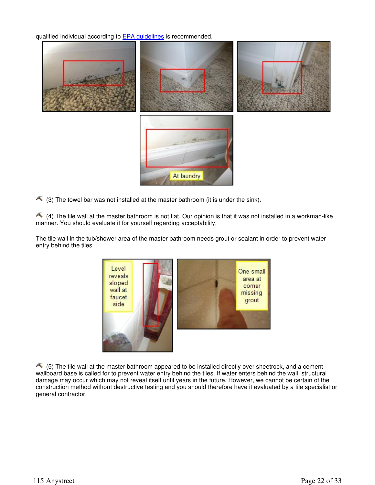qualified individual according to **EPA** guidelines is recommended.



 $\triangle$  (3) The towel bar was not installed at the master bathroom (it is under the sink).

 $\triangle$  (4) The tile wall at the master bathroom is not flat. Our opinion is that it was not installed in a workman-like manner. You should evaluate it for yourself regarding acceptability.

The tile wall in the tub/shower area of the master bathroom needs grout or sealant in order to prevent water entry behind the tiles.



 $\leftarrow$  (5) The tile wall at the master bathroom appeared to be installed directly over sheetrock, and a cement wallboard base is called for to prevent water entry behind the tiles. If water enters behind the wall, structural damage may occur which may not reveal itself until years in the future. However, we cannot be certain of the construction method without destructive testing and you should therefore have it evaluated by a tile specialist or general contractor.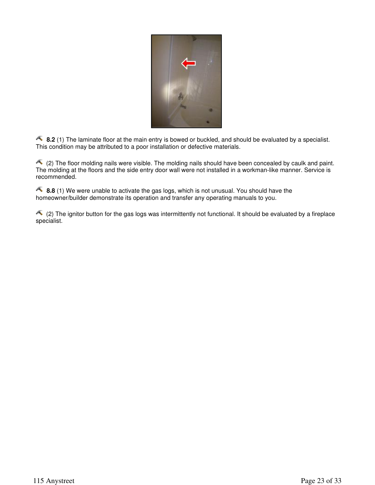

**8.2** (1) The laminate floor at the main entry is bowed or buckled, and should be evaluated by a specialist. This condition may be attributed to a poor installation or defective materials.

 (2) The floor molding nails were visible. The molding nails should have been concealed by caulk and paint. The molding at the floors and the side entry door wall were not installed in a workman-like manner. Service is recommended.

**8.8** (1) We were unable to activate the gas logs, which is not unusual. You should have the homeowner/builder demonstrate its operation and transfer any operating manuals to you.

 $\triangle$  (2) The ignitor button for the gas logs was intermittently not functional. It should be evaluated by a fireplace specialist.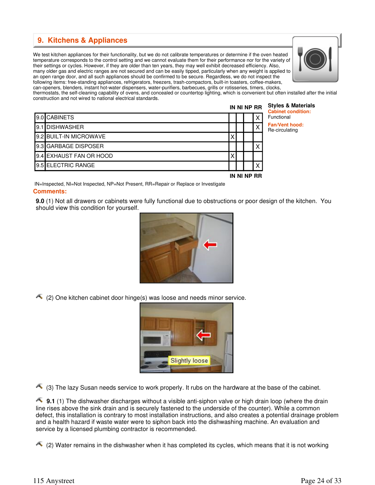#### **9. Kitchens & Appliances**

We test kitchen appliances for their functionality, but we do not calibrate temperatures or determine if the oven heated temperature corresponds to the control setting and we cannot evaluate them for their performance nor for the variety of their settings or cycles. However, if they are older than ten years, they may well exhibit decreased efficiency. Also, many older gas and electric ranges are not secured and can be easily tipped, particularly when any weight is applied to an open range door, and all such appliances should be confirmed to be secure. Regardless, we do not inspect the following items: free-standing appliances, refrigerators, freezers, trash-compactors, built-in toasters, coffee-makers, can-openers, blenders, instant hot-water dispensers, water-purifiers, barbecues, grills or rotisseries, timers, clocks,



thermostats, the self-cleaning capability of ovens, and concealed or countertop lighting, which is convenient but often installed after the initial construction and not wired to national electrical standards.

|                         |  | IN NI NP RR | <b>Styles &amp; Materials</b><br><b>Cabinet condition:</b> |
|-------------------------|--|-------------|------------------------------------------------------------|
| 9.0 CABINETS            |  |             | Functional                                                 |
| <b>19.1 IDISHWASHER</b> |  | х           | <b>Fan/Vent hood:</b><br>Re-circulating                    |
| 9.2 BUILT-IN MICROWAVE  |  |             |                                                            |
| 9.3 GARBAGE DISPOSER    |  |             |                                                            |
| 9.4 EXHAUST FAN OR HOOD |  |             |                                                            |
| 9.5 ELECTRIC RANGE      |  |             |                                                            |

**IN NI NP RR**

**Comments:**  IN=Inspected, NI=Not Inspected, NP=Not Present, RR=Repair or Replace or Investigate

**9.0** (1) Not all drawers or cabinets were fully functional due to obstructions or poor design of the kitchen. You should view this condition for yourself.



 $\triangle$  (2) One kitchen cabinet door hinge(s) was loose and needs minor service.



 $\triangle$  (3) The lazy Susan needs service to work properly. It rubs on the hardware at the base of the cabinet.

**9.1** (1) The dishwasher discharges without a visible anti-siphon valve or high drain loop (where the drain line rises above the sink drain and is securely fastened to the underside of the counter). While a common defect, this installation is contrary to most installation instructions, and also creates a potential drainage problem and a health hazard if waste water were to siphon back into the dishwashing machine. An evaluation and service by a licensed plumbing contractor is recommended.

 $\triangle$  (2) Water remains in the dishwasher when it has completed its cycles, which means that it is not working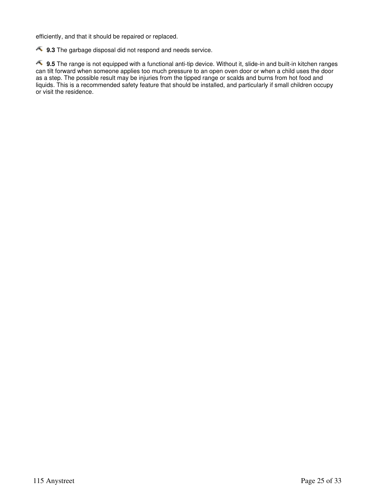efficiently, and that it should be repaired or replaced.

**9.3** The garbage disposal did not respond and needs service.

**9.5** The range is not equipped with a functional anti-tip device. Without it, slide-in and built-in kitchen ranges can tilt forward when someone applies too much pressure to an open oven door or when a child uses the door as a step. The possible result may be injuries from the tipped range or scalds and burns from hot food and liquids. This is a recommended safety feature that should be installed, and particularly if small children occupy or visit the residence.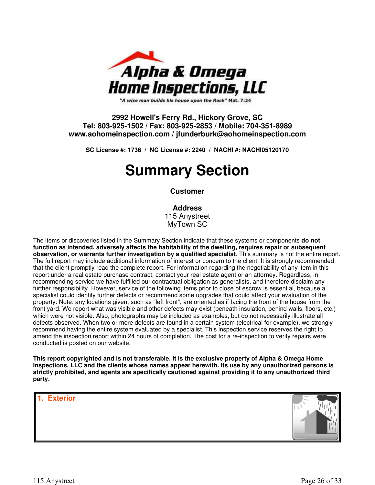

"A wise man builds his house upon the Rock" Mat. 7:24

#### **2992 Howell's Ferry Rd., Hickory Grove, SC Tel: 803-925-1502 / Fax: 803-925-2853 / Mobile: 704-351-8989 www.aohomeinspection.com / jfunderburk@aohomeinspection.com**

**SC License #: 1736 / NC License #: 2240 / NACHI #: NACHI05120170**

## **Summary Section**

#### **Customer**

#### **Address**

115 Anystreet MyTown SC

The items or discoveries listed in the Summary Section indicate that these systems or components **do not function as intended, adversely affects the habitability of the dwelling, requires repair or subsequent observation, or warrants further investigation by a qualified specialist**. This summary is not the entire report. The full report may include additional information of interest or concern to the client. It is strongly recommended that the client promptly read the complete report. For information regarding the negotiability of any item in this report under a real estate purchase contract, contact your real estate agent or an attorney. Regardless, in recommending service we have fulfilled our contractual obligation as generalists, and therefore disclaim any further responsibility. However, service of the following items prior to close of escrow is essential, because a specialist could identify further defects or recommend some upgrades that could affect your evaluation of the property. Note: any locations given, such as "left front", are oriented as if facing the front of the house from the front yard. We report what was visible and other defects may exist (beneath insulation, behind walls, floors, etc.) which were not visible. Also, photographs may be included as examples, but do not necessarily illustrate all defects observed. When two or more defects are found in a certain system (electrical for example), we strongly recommend having the entire system evaluated by a specialist. This inspection service reserves the right to amend the inspection report within 24 hours of completion. The cost for a re-inspection to verify repairs were conducted is posted on our website.

**This report copyrighted and is not transferable. It is the exclusive property of Alpha & Omega Home Inspections, LLC and the clients whose names appear herewith. Its use by any unauthorized persons is strictly prohibited, and agents are specifically cautioned against providing it to any unauthorized third party.**

#### **1. Exterior**

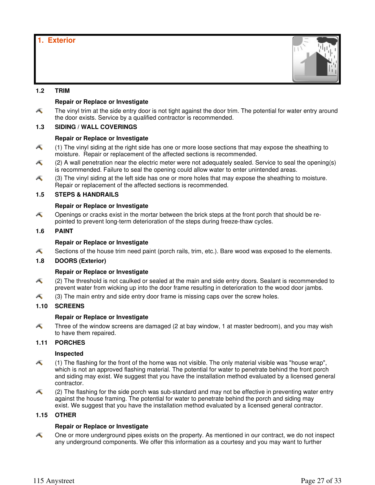#### **1.2 TRIM**

#### **Repair or Replace or Investigate**

Æ The vinyl trim at the side entry door is not tight against the door trim. The potential for water entry around the door exists. Service by a qualified contractor is recommended.

#### **1.3 SIDING / WALL COVERINGS**

#### **Repair or Replace or Investigate**

- Æ (1) The vinyl siding at the right side has one or more loose sections that may expose the sheathing to moisture. Repair or replacement of the affected sections is recommended.
- Æ (2) A wall penetration near the electric meter were not adequately sealed. Service to seal the opening(s) is recommended. Failure to seal the opening could allow water to enter unintended areas.
- Æ (3) The vinyl siding at the left side has one or more holes that may expose the sheathing to moisture. Repair or replacement of the affected sections is recommended.

#### **1.5 STEPS & HANDRAILS**

#### **Repair or Replace or Investigate**

- Æ Openings or cracks exist in the mortar between the brick steps at the front porch that should be repointed to prevent long-term deterioration of the steps during freeze-thaw cycles.
- **1.6 PAINT**

#### **Repair or Replace or Investigate**

Æ Sections of the house trim need paint (porch rails, trim, etc.). Bare wood was exposed to the elements.

#### **1.8 DOORS (Exterior)**

#### **Repair or Replace or Investigate**

- Æ (2) The threshold is not caulked or sealed at the main and side entry doors. Sealant is recommended to prevent water from wicking up into the door frame resulting in deterioration to the wood door jambs.
- Æ (3) The main entry and side entry door frame is missing caps over the screw holes.

#### **1.10 SCREENS**

#### **Repair or Replace or Investigate**

Æ Three of the window screens are damaged (2 at bay window, 1 at master bedroom), and you may wish to have them repaired.

#### **1.11 PORCHES**

#### **Inspected**

- A (1) The flashing for the front of the home was not visible. The only material visible was "house wrap", which is not an approved flashing material. The potential for water to penetrate behind the front porch and siding may exist. We suggest that you have the installation method evaluated by a licensed general contractor.
- Æ (2) The flashing for the side porch was sub-standard and may not be effective in preventing water entry against the house framing. The potential for water to penetrate behind the porch and siding may exist. We suggest that you have the installation method evaluated by a licensed general contractor.

#### **1.15 OTHER**

#### **Repair or Replace or Investigate**

One or more underground pipes exists on the property. As mentioned in our contract, we do not inspect Æ any underground components. We offer this information as a courtesy and you may want to further

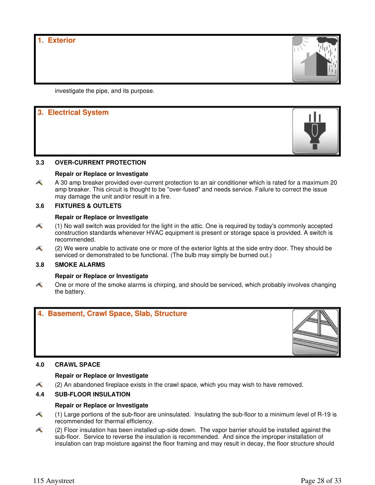**1. Exterior**



investigate the pipe, and its purpose.

### **3. Electrical System**



#### **Repair or Replace or Investigate**

A 30 amp breaker provided over-current protection to an air conditioner which is rated for a maximum 20 Æ amp breaker. This circuit is thought to be "over-fused" and needs service. Failure to correct the issue may damage the unit and/or result in a fire.

#### **3.6 FIXTURES & OUTLETS**

#### **Repair or Replace or Investigate**

- Æ (1) No wall switch was provided for the light in the attic. One is required by today's commonly accepted construction standards whenever HVAC equipment is present or storage space is provided. A switch is recommended.
- Æ (2) We were unable to activate one or more of the exterior lights at the side entry door. They should be serviced or demonstrated to be functional. (The bulb may simply be burned out.)

#### **3.8 SMOKE ALARMS**

#### **Repair or Replace or Investigate**

Æ One or more of the smoke alarms is chirping, and should be serviced, which probably involves changing the battery.



#### **4.0 CRAWL SPACE**

#### **Repair or Replace or Investigate**

(2) An abandoned fireplace exists in the crawl space, which you may wish to have removed. Æ

#### **4.4 SUB-FLOOR INSULATION**

#### **Repair or Replace or Investigate**

- Æ (1) Large portions of the sub-floor are uninsulated. Insulating the sub-floor to a minimum level of R-19 is recommended for thermal efficiency.
- Æ (2) Floor insulation has been installed up-side down. The vapor barrier should be installed against the sub-floor. Service to reverse the insulation is recommended. And since the improper installation of insulation can trap moisture against the floor framing and may result in decay, the floor structure should

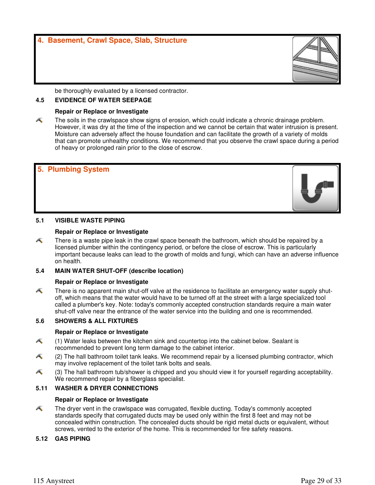be thoroughly evaluated by a licensed contractor.

#### **4.5 EVIDENCE OF WATER SEEPAGE**

#### **Repair or Replace or Investigate**

Æ The soils in the crawlspace show signs of erosion, which could indicate a chronic drainage problem. However, it was dry at the time of the inspection and we cannot be certain that water intrusion is present. Moisture can adversely affect the house foundation and can facilitate the growth of a variety of molds that can promote unhealthy conditions. We recommend that you observe the crawl space during a period of heavy or prolonged rain prior to the close of escrow.

# **5. Plumbing System**

#### **5.1 VISIBLE WASTE PIPING**

#### **Repair or Replace or Investigate**

Æ There is a waste pipe leak in the crawl space beneath the bathroom, which should be repaired by a licensed plumber within the contingency period, or before the close of escrow. This is particularly important because leaks can lead to the growth of molds and fungi, which can have an adverse influence on health.

#### **5.4 MAIN WATER SHUT-OFF (describe location)**

#### **Repair or Replace or Investigate**

Æ There is no apparent main shut-off valve at the residence to facilitate an emergency water supply shutoff, which means that the water would have to be turned off at the street with a large specialized tool called a plumber's key. Note: today's commonly accepted construction standards require a main water shut-off valve near the entrance of the water service into the building and one is recommended.

#### **5.6 SHOWERS & ALL FIXTURES**

#### **Repair or Replace or Investigate**

- (1) Water leaks between the kitchen sink and countertop into the cabinet below. Sealant is Æ recommended to prevent long term damage to the cabinet interior.
- Æ (2) The hall bathroom toilet tank leaks. We recommend repair by a licensed plumbing contractor, which may involve replacement of the toilet tank bolts and seals.
- Æ (3) The hall bathroom tub/shower is chipped and you should view it for yourself regarding acceptability. We recommend repair by a fiberglass specialist.

#### **5.11 WASHER & DRYER CONNECTIONS**

#### **Repair or Replace or Investigate**

The dryer vent in the crawlspace was corrugated, flexible ducting. Today's commonly accepted Æ standards specify that corrugated ducts may be used only within the first 8 feet and may not be concealed within construction. The concealed ducts should be rigid metal ducts or equivalent, without screws, vented to the exterior of the home. This is recommended for fire safety reasons.

#### **5.12 GAS PIPING**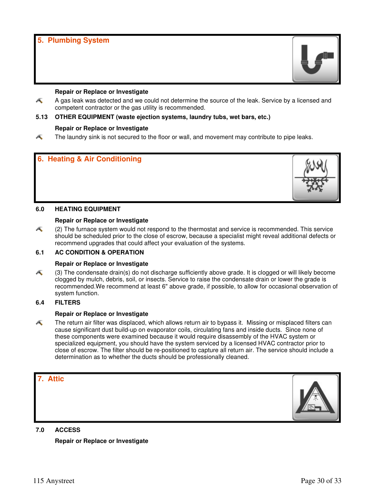#### **5. Plumbing System**



#### **Repair or Replace or Investigate**

Æ A gas leak was detected and we could not determine the source of the leak. Service by a licensed and competent contractor or the gas utility is recommended.

#### **5.13 OTHER EQUIPMENT (waste ejection systems, laundry tubs, wet bars, etc.)**

#### **Repair or Replace or Investigate**

Æ The laundry sink is not secured to the floor or wall, and movement may contribute to pipe leaks.





#### **Repair or Replace or Investigate**

Æ (2) The furnace system would not respond to the thermostat and service is recommended. This service should be scheduled prior to the close of escrow, because a specialist might reveal additional defects or recommend upgrades that could affect your evaluation of the systems.

#### **6.1 AC CONDITION & OPERATION**

#### **Repair or Replace or Investigate**

Æ (3) The condensate drain(s) do not discharge sufficiently above grade. It is clogged or will likely become clogged by mulch, debris, soil, or insects. Service to raise the condensate drain or lower the grade is recommended.We recommend at least 6" above grade, if possible, to allow for occasional observation of system function.

#### **6.4 FILTERS**

#### **Repair or Replace or Investigate**

Æ The return air filter was displaced, which allows return air to bypass it. Missing or misplaced filters can cause significant dust build-up on evaporator coils, circulating fans and inside ducts. Since none of these components were examined because it would require disassembly of the HVAC system or specialized equipment, you should have the system serviced by a licensed HVAC contractor prior to close of escrow. The filter should be re-positioned to capture all return air. The service should include a determination as to whether the ducts should be professionally cleaned.





#### **7.0 ACCESS**

**Repair or Replace or Investigate**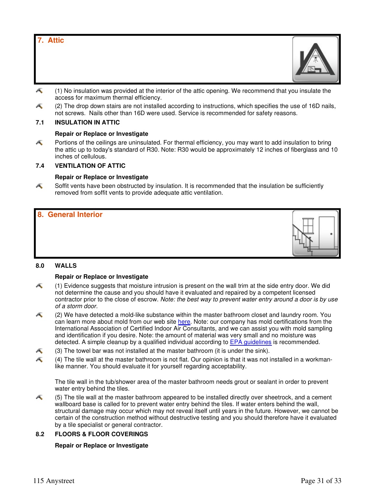#### **7. Attic**

- Æ (1) No insulation was provided at the interior of the attic opening. We recommend that you insulate the access for maximum thermal efficiency.
- Æ (2) The drop down stairs are not installed according to instructions, which specifies the use of 16D nails, not screws. Nails other than 16D were used. Service is recommended for safety reasons.

#### **7.1 INSULATION IN ATTIC**

#### **Repair or Replace or Investigate**

Æ Portions of the ceilings are uninsulated. For thermal efficiency, you may want to add insulation to bring the attic up to today's standard of R30. Note: R30 would be approximately 12 inches of fiberglass and 10 inches of cellulous.

#### **7.4 VENTILATION OF ATTIC**

#### **Repair or Replace or Investigate**

Æ Soffit vents have been obstructed by insulation. It is recommended that the insulation be sufficiently removed from soffit vents to provide adequate attic ventilation.

## **8. General Interior**

#### **8.0 WALLS**

#### **Repair or Replace or Investigate**

- Æ (1) Evidence suggests that moisture intrusion is present on the wall trim at the side entry door. We did not determine the cause and you should have it evaluated and repaired by a competent licensed contractor prior to the close of escrow. Note: the best way to prevent water entry around a door is by use of a storm door.
- (2) We have detected a mold-like substance within the master bathroom closet and laundry room. You Æ can learn more about mold from our web site here. Note: our company has mold certifications from the International Association of Certified Indoor Air Consultants, and we can assist you with mold sampling and identification if you desire. Note: the amount of material was very small and no moisture was detected. A simple cleanup by a qualified individual according to EPA guidelines is recommended.
- Æ (3) The towel bar was not installed at the master bathroom (it is under the sink).
- Æ (4) The tile wall at the master bathroom is not flat. Our opinion is that it was not installed in a workmanlike manner. You should evaluate it for yourself regarding acceptability.

The tile wall in the tub/shower area of the master bathroom needs grout or sealant in order to prevent water entry behind the tiles.

Æ (5) The tile wall at the master bathroom appeared to be installed directly over sheetrock, and a cement wallboard base is called for to prevent water entry behind the tiles. If water enters behind the wall, structural damage may occur which may not reveal itself until years in the future. However, we cannot be certain of the construction method without destructive testing and you should therefore have it evaluated by a tile specialist or general contractor.

#### **8.2 FLOORS & FLOOR COVERINGS**

#### **Repair or Replace or Investigate**

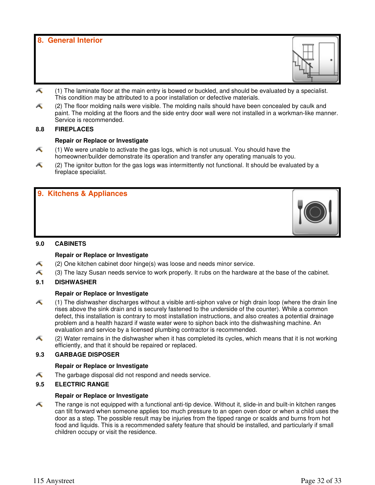**8. General Interior**



- Æ (1) The laminate floor at the main entry is bowed or buckled, and should be evaluated by a specialist. This condition may be attributed to a poor installation or defective materials.
- Æ (2) The floor molding nails were visible. The molding nails should have been concealed by caulk and paint. The molding at the floors and the side entry door wall were not installed in a workman-like manner. Service is recommended.

#### **8.8 FIREPLACES**

#### **Repair or Replace or Investigate**

- Æ (1) We were unable to activate the gas logs, which is not unusual. You should have the homeowner/builder demonstrate its operation and transfer any operating manuals to you.
- Æ (2) The ignitor button for the gas logs was intermittently not functional. It should be evaluated by a fireplace specialist.

#### **9. Kitchens & Appliances**



#### **Repair or Replace or Investigate**

- (2) One kitchen cabinet door hinge(s) was loose and needs minor service. Æ
- Æ (3) The lazy Susan needs service to work properly. It rubs on the hardware at the base of the cabinet.

#### **9.1 DISHWASHER**

#### **Repair or Replace or Investigate**

- Æ (1) The dishwasher discharges without a visible anti-siphon valve or high drain loop (where the drain line rises above the sink drain and is securely fastened to the underside of the counter). While a common defect, this installation is contrary to most installation instructions, and also creates a potential drainage problem and a health hazard if waste water were to siphon back into the dishwashing machine. An evaluation and service by a licensed plumbing contractor is recommended.
- Æ (2) Water remains in the dishwasher when it has completed its cycles, which means that it is not working efficiently, and that it should be repaired or replaced.

#### **9.3 GARBAGE DISPOSER**

#### **Repair or Replace or Investigate**

Æ The garbage disposal did not respond and needs service.

#### **9.5 ELECTRIC RANGE**

#### **Repair or Replace or Investigate**

A The range is not equipped with a functional anti-tip device. Without it, slide-in and built-in kitchen ranges can tilt forward when someone applies too much pressure to an open oven door or when a child uses the door as a step. The possible result may be injuries from the tipped range or scalds and burns from hot food and liquids. This is a recommended safety feature that should be installed, and particularly if small children occupy or visit the residence.